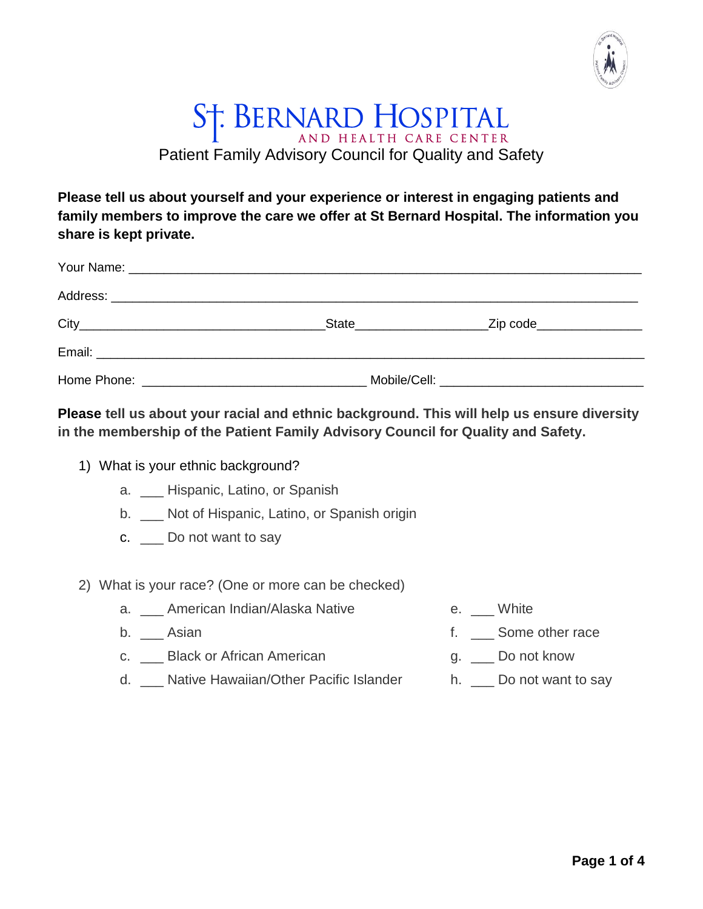

## ST. BERNARD HOSPITAL Patient Family Advisory Council for Quality and Safety

**Please tell us about yourself and your experience or interest in engaging patients and family members to improve the care we offer at St Bernard Hospital. The information you share is kept private.**

| _State_________________________Zip code__________________ |                                                |
|-----------------------------------------------------------|------------------------------------------------|
|                                                           |                                                |
|                                                           | Mobile/Cell: _________________________________ |

**Please tell us about your racial and ethnic background. This will help us ensure diversity in the membership of the Patient Family Advisory Council for Quality and Safety.**

- 1) What is your ethnic background?
	- a. \_\_\_ Hispanic, Latino, or Spanish
	- b. \_\_\_ Not of Hispanic, Latino, or Spanish origin
	- c. Do not want to say
- 2) What is your race? (One or more can be checked)
	- a. \_\_\_ American Indian/Alaska Native
	- b. **Asian**
	- c. Black or African American
	- d. **Native Hawaiian/Other Pacific Islander**
- e. \_\_ White
- f. \_\_\_ Some other race
- g. \_\_ Do not know
- h. Do not want to say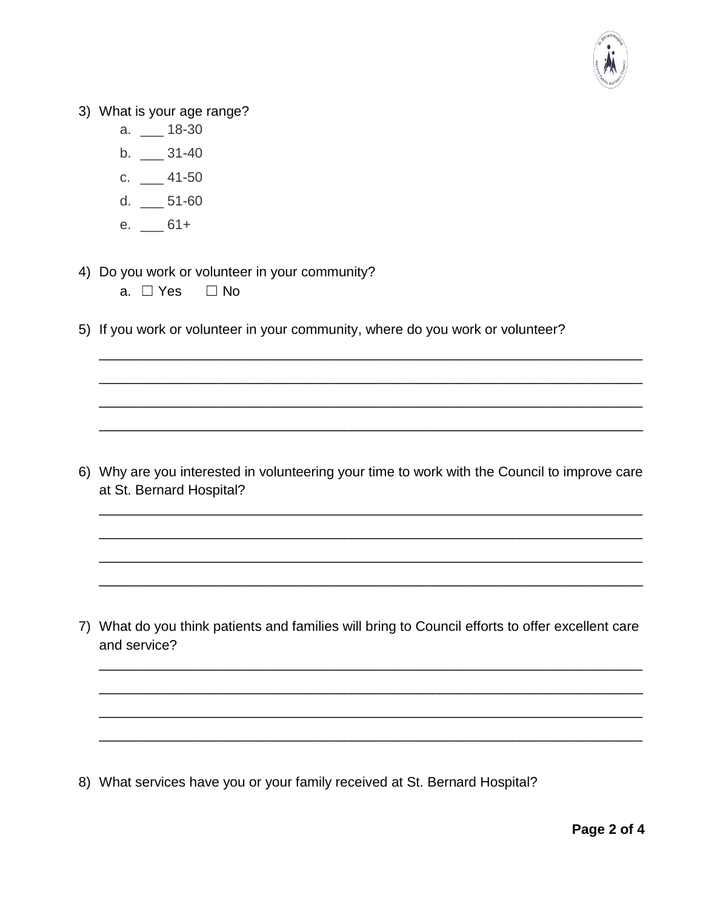

3) What is your age range?

- a. \_\_\_ 18-30
- $b. \_$  31-40
- c. \_\_\_ 41-50
- d.  $\_\_$  51-60
- e.  $-61+$

4) Do you work or volunteer in your community?

- a. □ Yes □ No
- 5) If you work or volunteer in your community, where do you work or volunteer?

6) Why are you interested in volunteering your time to work with the Council to improve care at St. Bernard Hospital?

\_\_\_\_\_\_\_\_\_\_\_\_\_\_\_\_\_\_\_\_\_\_\_\_\_\_\_\_\_\_\_\_\_\_\_\_\_\_\_\_\_\_\_\_\_\_\_\_\_\_\_\_\_\_\_\_\_\_\_\_\_\_\_\_\_\_\_\_\_\_\_

\_\_\_\_\_\_\_\_\_\_\_\_\_\_\_\_\_\_\_\_\_\_\_\_\_\_\_\_\_\_\_\_\_\_\_\_\_\_\_\_\_\_\_\_\_\_\_\_\_\_\_\_\_\_\_\_\_\_\_\_\_\_\_\_\_\_\_\_\_\_\_

\_\_\_\_\_\_\_\_\_\_\_\_\_\_\_\_\_\_\_\_\_\_\_\_\_\_\_\_\_\_\_\_\_\_\_\_\_\_\_\_\_\_\_\_\_\_\_\_\_\_\_\_\_\_\_\_\_\_\_\_\_\_\_\_\_\_\_\_\_\_\_

\_\_\_\_\_\_\_\_\_\_\_\_\_\_\_\_\_\_\_\_\_\_\_\_\_\_\_\_\_\_\_\_\_\_\_\_\_\_\_\_\_\_\_\_\_\_\_\_\_\_\_\_\_\_\_\_\_\_\_\_\_\_\_\_\_\_\_\_\_\_\_

\_\_\_\_\_\_\_\_\_\_\_\_\_\_\_\_\_\_\_\_\_\_\_\_\_\_\_\_\_\_\_\_\_\_\_\_\_\_\_\_\_\_\_\_\_\_\_\_\_\_\_\_\_\_\_\_\_\_\_\_\_\_\_\_\_\_\_\_\_\_\_

\_\_\_\_\_\_\_\_\_\_\_\_\_\_\_\_\_\_\_\_\_\_\_\_\_\_\_\_\_\_\_\_\_\_\_\_\_\_\_\_\_\_\_\_\_\_\_\_\_\_\_\_\_\_\_\_\_\_\_\_\_\_\_\_\_\_\_\_\_\_\_

\_\_\_\_\_\_\_\_\_\_\_\_\_\_\_\_\_\_\_\_\_\_\_\_\_\_\_\_\_\_\_\_\_\_\_\_\_\_\_\_\_\_\_\_\_\_\_\_\_\_\_\_\_\_\_\_\_\_\_\_\_\_\_\_\_\_\_\_\_\_\_

\_\_\_\_\_\_\_\_\_\_\_\_\_\_\_\_\_\_\_\_\_\_\_\_\_\_\_\_\_\_\_\_\_\_\_\_\_\_\_\_\_\_\_\_\_\_\_\_\_\_\_\_\_\_\_\_\_\_\_\_\_\_\_\_\_\_\_\_\_\_\_

7) What do you think patients and families will bring to Council efforts to offer excellent care and service?

\_\_\_\_\_\_\_\_\_\_\_\_\_\_\_\_\_\_\_\_\_\_\_\_\_\_\_\_\_\_\_\_\_\_\_\_\_\_\_\_\_\_\_\_\_\_\_\_\_\_\_\_\_\_\_\_\_\_\_\_\_\_\_\_\_\_\_\_\_\_\_

\_\_\_\_\_\_\_\_\_\_\_\_\_\_\_\_\_\_\_\_\_\_\_\_\_\_\_\_\_\_\_\_\_\_\_\_\_\_\_\_\_\_\_\_\_\_\_\_\_\_\_\_\_\_\_\_\_\_\_\_\_\_\_\_\_\_\_\_\_\_\_

\_\_\_\_\_\_\_\_\_\_\_\_\_\_\_\_\_\_\_\_\_\_\_\_\_\_\_\_\_\_\_\_\_\_\_\_\_\_\_\_\_\_\_\_\_\_\_\_\_\_\_\_\_\_\_\_\_\_\_\_\_\_\_\_\_\_\_\_\_\_\_

\_\_\_\_\_\_\_\_\_\_\_\_\_\_\_\_\_\_\_\_\_\_\_\_\_\_\_\_\_\_\_\_\_\_\_\_\_\_\_\_\_\_\_\_\_\_\_\_\_\_\_\_\_\_\_\_\_\_\_\_\_\_\_\_\_\_\_\_\_\_\_

8) What services have you or your family received at St. Bernard Hospital?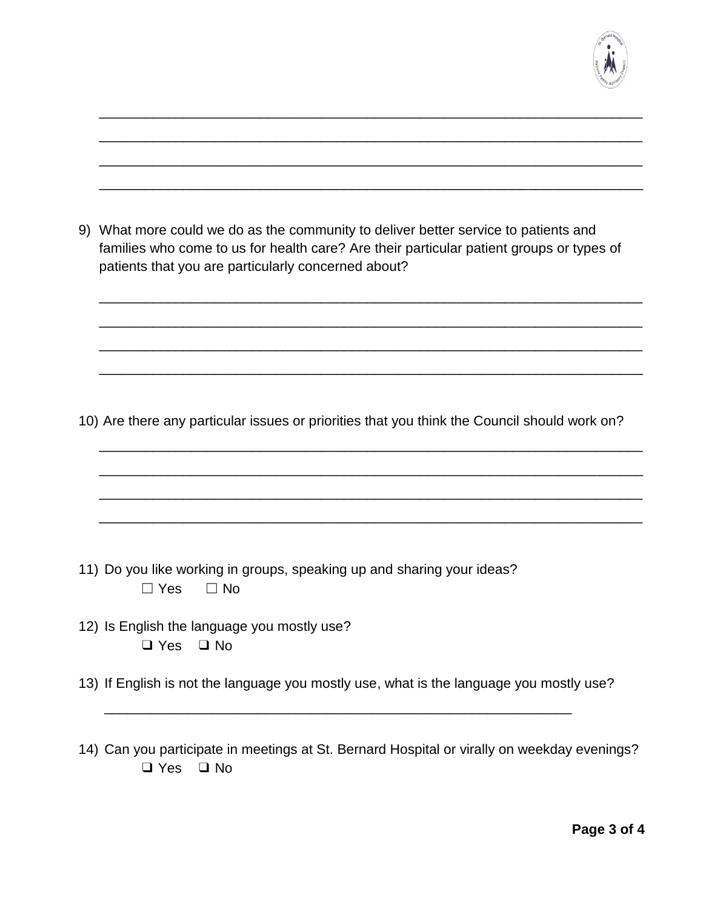

| 9) | What more could we do as the community to deliver better service to patients and<br>families who come to us for health care? Are their particular patient groups or types of<br>patients that you are particularly concerned about? |
|----|-------------------------------------------------------------------------------------------------------------------------------------------------------------------------------------------------------------------------------------|
|    |                                                                                                                                                                                                                                     |
|    |                                                                                                                                                                                                                                     |
|    | 10) Are there any particular issues or priorities that you think the Council should work on?                                                                                                                                        |
|    |                                                                                                                                                                                                                                     |
|    |                                                                                                                                                                                                                                     |
|    |                                                                                                                                                                                                                                     |
|    |                                                                                                                                                                                                                                     |
|    | 11) Do you like working in groups, speaking up and sharing your ideas?<br>∃ Yes<br>$\Box$ No                                                                                                                                        |
|    | 12) Is English the language you mostly use?<br>$\Box$ No<br>$\Box$ Yes                                                                                                                                                              |
|    | 13) If English is not the language you mostly use, what is the language you mostly use?                                                                                                                                             |
|    | 14) Can you participate in meetings at St. Bernard Hospital or virally on weekday evenings?                                                                                                                                         |
|    | $\Box$ Yes<br>$\Box$ No                                                                                                                                                                                                             |

\_\_\_\_\_\_\_\_\_\_\_\_\_\_\_\_\_\_\_\_\_\_\_\_\_\_\_\_\_\_\_\_\_\_\_\_\_\_\_\_\_\_\_\_\_\_\_\_\_\_\_\_\_\_\_\_\_\_\_\_\_\_\_\_\_\_\_\_\_\_\_